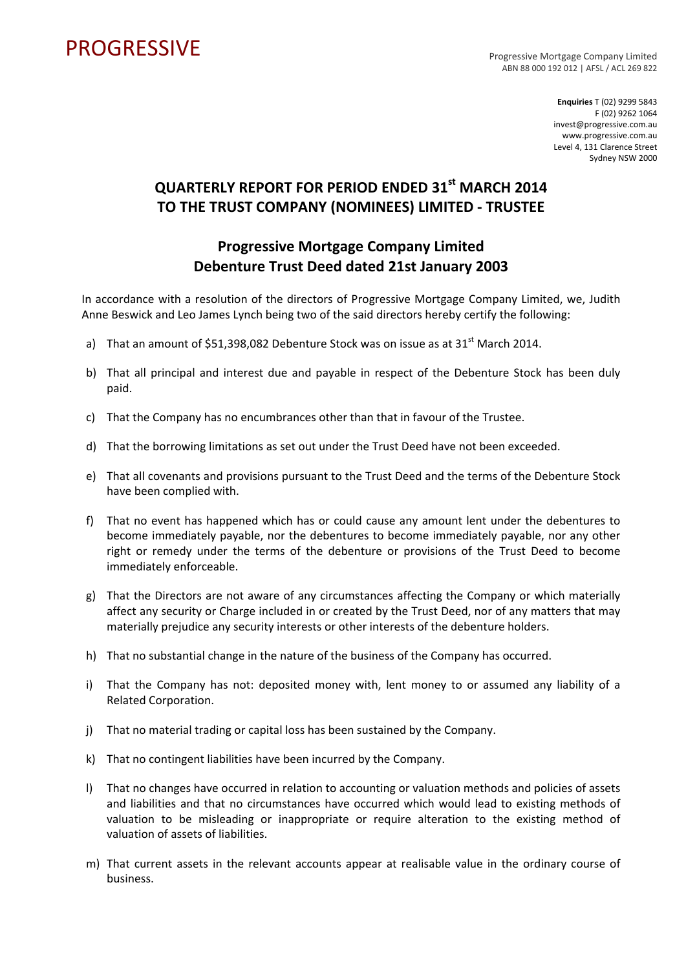## PROGRESSIVE PROGRESSIVE

ABN 88 000 192 012 | AFSL / ACL 269 822

**Enquiries** T (02) 9299 5843 F (02) 9262 1064 invest@progressive.com.au www.progressive.com.au Level 4, 131 Clarence Street Sydney NSW 2000

## **QUARTERLY REPORT FOR PERIOD ENDED 31st MARCH 2014 TO THE TRUST COMPANY (NOMINEES) LIMITED ‐ TRUSTEE**

## **Progressive Mortgage Company Limited Debenture Trust Deed dated 21st January 2003**

In accordance with a resolution of the directors of Progressive Mortgage Company Limited, we, Judith Anne Beswick and Leo James Lynch being two of the said directors hereby certify the following:

- a) That an amount of \$51,398,082 Debenture Stock was on issue as at  $31<sup>st</sup>$  March 2014.
- b) That all principal and interest due and payable in respect of the Debenture Stock has been duly paid.
- c) That the Company has no encumbrances other than that in favour of the Trustee.
- d) That the borrowing limitations as set out under the Trust Deed have not been exceeded.
- e) That all covenants and provisions pursuant to the Trust Deed and the terms of the Debenture Stock have been complied with.
- f) That no event has happened which has or could cause any amount lent under the debentures to become immediately payable, nor the debentures to become immediately payable, nor any other right or remedy under the terms of the debenture or provisions of the Trust Deed to become immediately enforceable.
- g) That the Directors are not aware of any circumstances affecting the Company or which materially affect any security or Charge included in or created by the Trust Deed, nor of any matters that may materially prejudice any security interests or other interests of the debenture holders.
- h) That no substantial change in the nature of the business of the Company has occurred.
- i) That the Company has not: deposited money with, lent money to or assumed any liability of a Related Corporation.
- j) That no material trading or capital loss has been sustained by the Company.
- k) That no contingent liabilities have been incurred by the Company.
- l) That no changes have occurred in relation to accounting or valuation methods and policies of assets and liabilities and that no circumstances have occurred which would lead to existing methods of valuation to be misleading or inappropriate or require alteration to the existing method of valuation of assets of liabilities.
- m) That current assets in the relevant accounts appear at realisable value in the ordinary course of business.